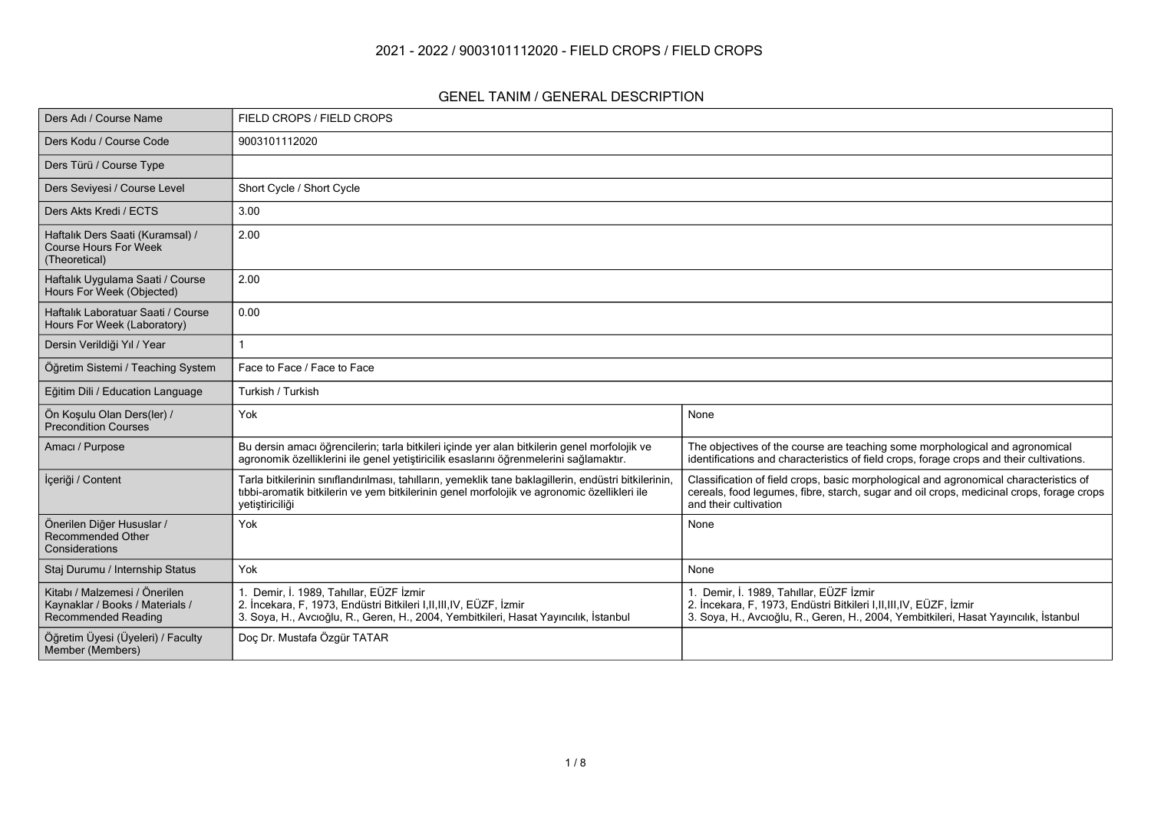#### **2021 - 2022 / 9003101112020 - FIELD CROPS / FIELD CROPS**

#### **GENEL TANIM / GENERAL DESCRIPTION**

| Ders Adı / Course Name                                                                         | FIELD CROPS / FIELD CROPS                                                                                                                                                                                               |                                                                                                                                                                                                            |  |  |  |  |
|------------------------------------------------------------------------------------------------|-------------------------------------------------------------------------------------------------------------------------------------------------------------------------------------------------------------------------|------------------------------------------------------------------------------------------------------------------------------------------------------------------------------------------------------------|--|--|--|--|
| Ders Kodu / Course Code                                                                        | 9003101112020                                                                                                                                                                                                           |                                                                                                                                                                                                            |  |  |  |  |
| Ders Türü / Course Type                                                                        |                                                                                                                                                                                                                         |                                                                                                                                                                                                            |  |  |  |  |
| Ders Seviyesi / Course Level                                                                   | Short Cycle / Short Cycle                                                                                                                                                                                               |                                                                                                                                                                                                            |  |  |  |  |
| Ders Akts Kredi / ECTS                                                                         | 3.00                                                                                                                                                                                                                    |                                                                                                                                                                                                            |  |  |  |  |
| Haftalık Ders Saati (Kuramsal) /<br><b>Course Hours For Week</b><br>(Theoretical)              | 2.00                                                                                                                                                                                                                    |                                                                                                                                                                                                            |  |  |  |  |
| Haftalık Uygulama Saati / Course<br>Hours For Week (Objected)                                  | 2.00                                                                                                                                                                                                                    |                                                                                                                                                                                                            |  |  |  |  |
| Haftalık Laboratuar Saati / Course<br>Hours For Week (Laboratory)                              | 0.00                                                                                                                                                                                                                    |                                                                                                                                                                                                            |  |  |  |  |
| Dersin Verildiği Yıl / Year                                                                    |                                                                                                                                                                                                                         |                                                                                                                                                                                                            |  |  |  |  |
| Öğretim Sistemi / Teaching System                                                              | Face to Face / Face to Face                                                                                                                                                                                             |                                                                                                                                                                                                            |  |  |  |  |
| Eğitim Dili / Education Language                                                               | Turkish / Turkish                                                                                                                                                                                                       |                                                                                                                                                                                                            |  |  |  |  |
| Ön Koşulu Olan Ders(ler) /<br><b>Precondition Courses</b>                                      | Yok                                                                                                                                                                                                                     | None                                                                                                                                                                                                       |  |  |  |  |
| Amacı / Purpose                                                                                | Bu dersin amacı öğrencilerin; tarla bitkileri içinde yer alan bitkilerin genel morfolojik ve<br>agronomik özelliklerini ile genel yetiştiricilik esaslarını öğrenmelerini sağlamaktır.                                  | The objectives of the course are teaching some morphological and agronomical<br>identifications and characteristics of field crops, forage crops and their cultivations.                                   |  |  |  |  |
| İçeriği / Content                                                                              | Tarla bitkilerinin sınıflandırılması, tahılların, yemeklik tane baklagillerin, endüstri bitkilerinin,<br>tibbi-aromatik bitkilerin ve yem bitkilerinin genel morfolojik ve agronomic özellikleri ile<br>yetiştiriciliği | Classification of field crops, basic morphological and agronomical characteristics of<br>cereals, food legumes, fibre, starch, sugar and oil crops, medicinal crops, forage crops<br>and their cultivation |  |  |  |  |
| Önerilen Diğer Hususlar /<br>Recommended Other<br>Considerations                               | Yok                                                                                                                                                                                                                     | None                                                                                                                                                                                                       |  |  |  |  |
| Staj Durumu / Internship Status                                                                | Yok                                                                                                                                                                                                                     | None                                                                                                                                                                                                       |  |  |  |  |
| Kitabı / Malzemesi / Önerilen<br>Kaynaklar / Books / Materials /<br><b>Recommended Reading</b> | Demir, İ. 1989, Tahıllar, EÜZF İzmir<br>2. İncekara, F. 1973. Endüstri Bitkileri I.II.III.IV. EÜZF. İzmir<br>3. Soya, H., Avcıoğlu, R., Geren, H., 2004, Yembitkileri, Hasat Yayıncılık, İstanbul                       | 1. Demir, İ. 1989, Tahıllar, EÜZF İzmir<br>2. İncekara, F, 1973, Endüstri Bitkileri I, II, III, IV, EÜZF, İzmir<br>3. Soya, H., Avcıoğlu, R., Geren, H., 2004, Yembitkileri, Hasat Yayıncılık, İstanbul    |  |  |  |  |
| Öğretim Üyesi (Üyeleri) / Faculty<br>Member (Members)                                          | Doç Dr. Mustafa Özgür TATAR                                                                                                                                                                                             |                                                                                                                                                                                                            |  |  |  |  |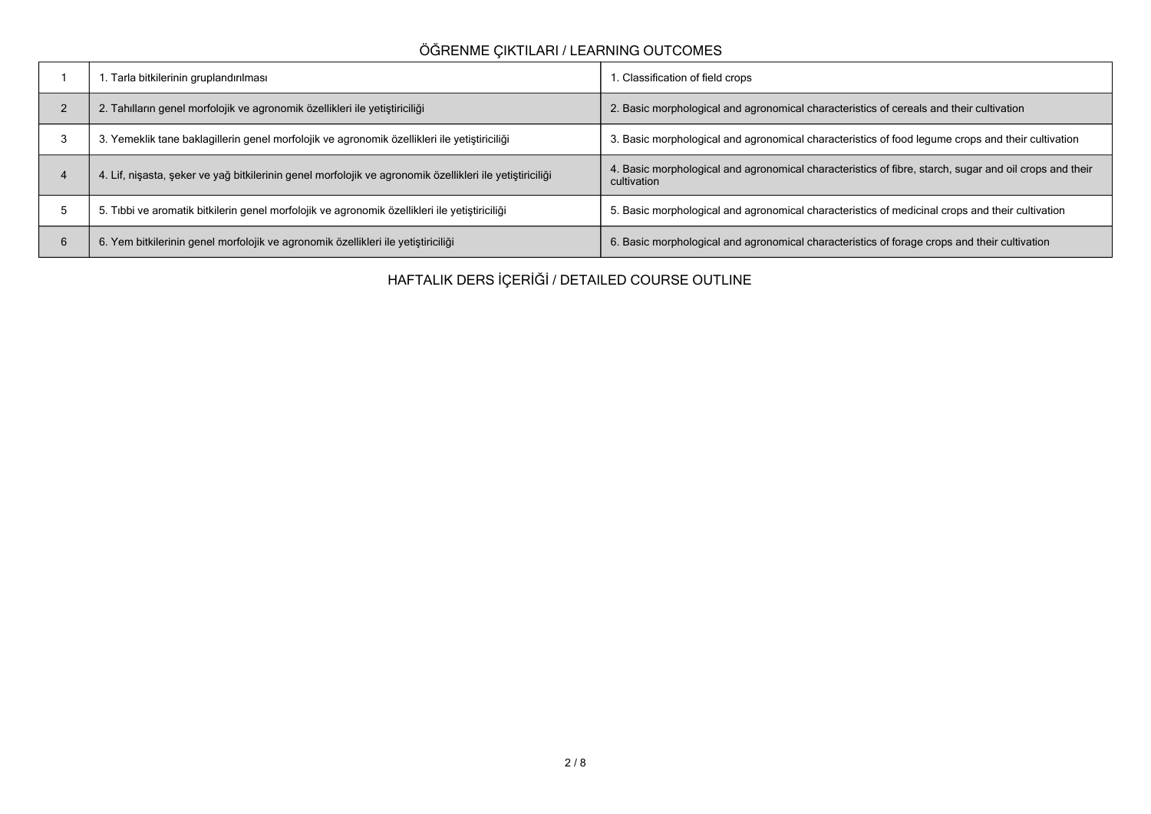# **ÖĞRENME ÇIKTILARI / LEARNING OUTCOMES**

|   | Tarla bitkilerinin gruplandırılması                                                                      | . Classification of field crops                                                                                       |
|---|----------------------------------------------------------------------------------------------------------|-----------------------------------------------------------------------------------------------------------------------|
|   | 2. Tahılların genel morfolojik ve agronomik özellikleri ile yetiştiriciliği                              | 2. Basic morphological and agronomical characteristics of cereals and their cultivation                               |
|   | . Yemeklik tane baklagillerin genel morfolojik ve agronomik özellikleri ile yetiştiriciliği<br>3         | 3. Basic morphological and agronomical characteristics of food legume crops and their cultivation                     |
|   | 4. Lif, nişasta, şeker ve yağ bitkilerinin genel morfolojik ve agronomik özellikleri ile yetiştiriciliği | 4. Basic morphological and agronomical characteristics of fibre, starch, sugar and oil crops and their<br>cultivation |
|   | 5. Tibbi ve aromatik bitkilerin genel morfolojik ve agronomik özellikleri ile yetiştiriciliği            | 5. Basic morphological and agronomical characteristics of medicinal crops and their cultivation                       |
| 6 | 6. Yem bitkilerinin genel morfolojik ve agronomik özellikleri ile yetiştiriciliği                        | 6. Basic morphological and agronomical characteristics of forage crops and their cultivation                          |

**HAFTALIK DERS İÇERİĞİ / DETAILED COURSE OUTLINE**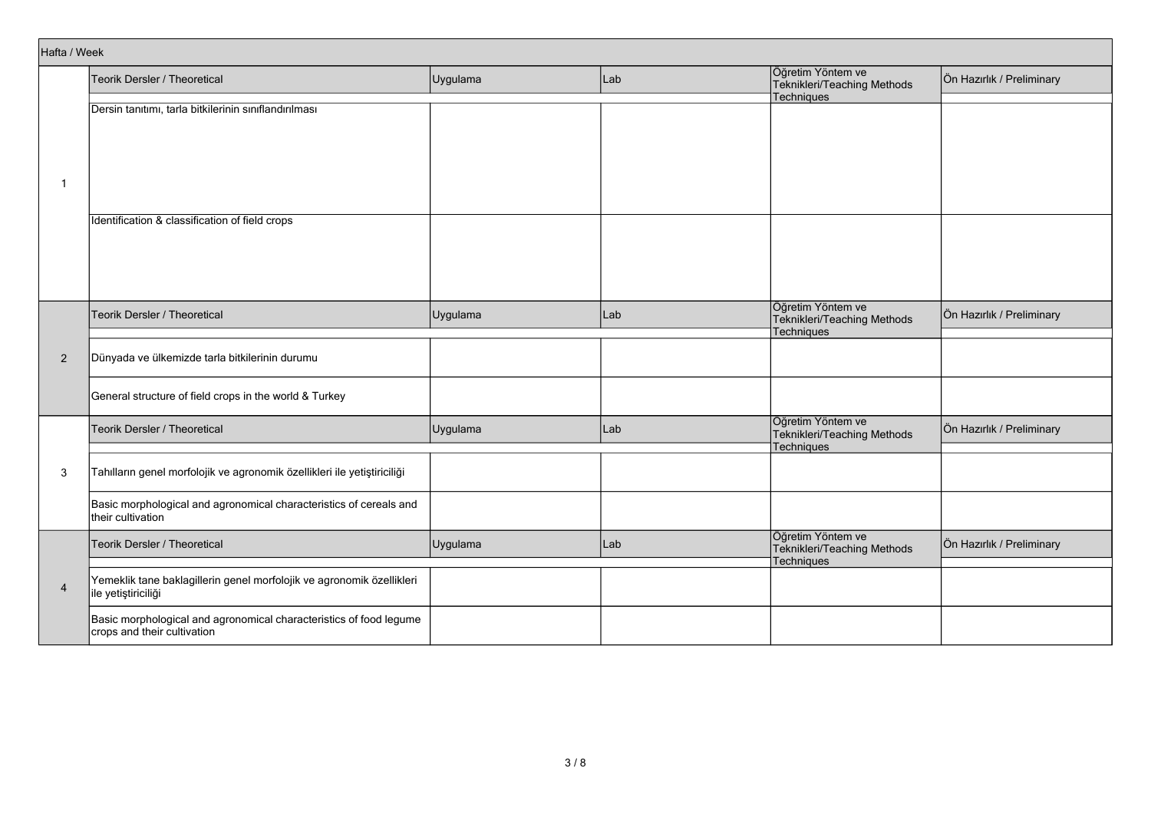| Hafta / Week   |                                                                                                   |          |     |                                                  |                           |
|----------------|---------------------------------------------------------------------------------------------------|----------|-----|--------------------------------------------------|---------------------------|
|                | Teorik Dersler / Theoretical                                                                      | Uygulama | Lab | Öğretim Yöntem ve<br>Teknikleri/Teaching Methods | Ön Hazırlık / Preliminary |
|                |                                                                                                   |          |     | Techniques                                       |                           |
|                | Dersin tanıtımı, tarla bitkilerinin sınıflandırılması                                             |          |     |                                                  |                           |
|                |                                                                                                   |          |     |                                                  |                           |
|                |                                                                                                   |          |     |                                                  |                           |
|                |                                                                                                   |          |     |                                                  |                           |
|                |                                                                                                   |          |     |                                                  |                           |
| $\mathbf{1}$   |                                                                                                   |          |     |                                                  |                           |
|                |                                                                                                   |          |     |                                                  |                           |
|                | Identification & classification of field crops                                                    |          |     |                                                  |                           |
|                |                                                                                                   |          |     |                                                  |                           |
|                |                                                                                                   |          |     |                                                  |                           |
|                |                                                                                                   |          |     |                                                  |                           |
|                |                                                                                                   |          |     |                                                  |                           |
|                |                                                                                                   |          |     |                                                  |                           |
|                | Teorik Dersler / Theoretical                                                                      |          | Lab | Öğretim Yöntem ve                                | Ön Hazırlık / Preliminary |
|                |                                                                                                   | Uygulama |     | Teknikleri/Teaching Methods                      |                           |
|                |                                                                                                   |          |     | Techniques                                       |                           |
| $\overline{2}$ | Dünyada ve ülkemizde tarla bitkilerinin durumu                                                    |          |     |                                                  |                           |
|                |                                                                                                   |          |     |                                                  |                           |
|                |                                                                                                   |          |     |                                                  |                           |
|                | General structure of field crops in the world & Turkey                                            |          |     |                                                  |                           |
|                |                                                                                                   |          |     | Öğretim Yöntem ve                                |                           |
|                | Teorik Dersler / Theoretical                                                                      | Uygulama | Lab | Teknikleri/Teaching Methods                      | Ön Hazırlık / Preliminary |
|                |                                                                                                   |          |     | Techniques                                       |                           |
|                |                                                                                                   |          |     |                                                  |                           |
| 3              | Tahılların genel morfolojik ve agronomik özellikleri ile yetiştiriciliği                          |          |     |                                                  |                           |
|                |                                                                                                   |          |     |                                                  |                           |
|                | Basic morphological and agronomical characteristics of cereals and                                |          |     |                                                  |                           |
|                | their cultivation                                                                                 |          |     |                                                  |                           |
|                |                                                                                                   |          |     | Öğretim Yöntem ve                                |                           |
|                | Teorik Dersler / Theoretical                                                                      | Uygulama | Lab | Teknikleri/Teaching Methods                      | Ön Hazırlık / Preliminary |
|                |                                                                                                   |          |     | Techniques                                       |                           |
| $\overline{4}$ | Yemeklik tane baklagillerin genel morfolojik ve agronomik özellikleri                             |          |     |                                                  |                           |
|                | ile yetiştiriciliği                                                                               |          |     |                                                  |                           |
|                |                                                                                                   |          |     |                                                  |                           |
|                | Basic morphological and agronomical characteristics of food legume<br>crops and their cultivation |          |     |                                                  |                           |
|                |                                                                                                   |          |     |                                                  |                           |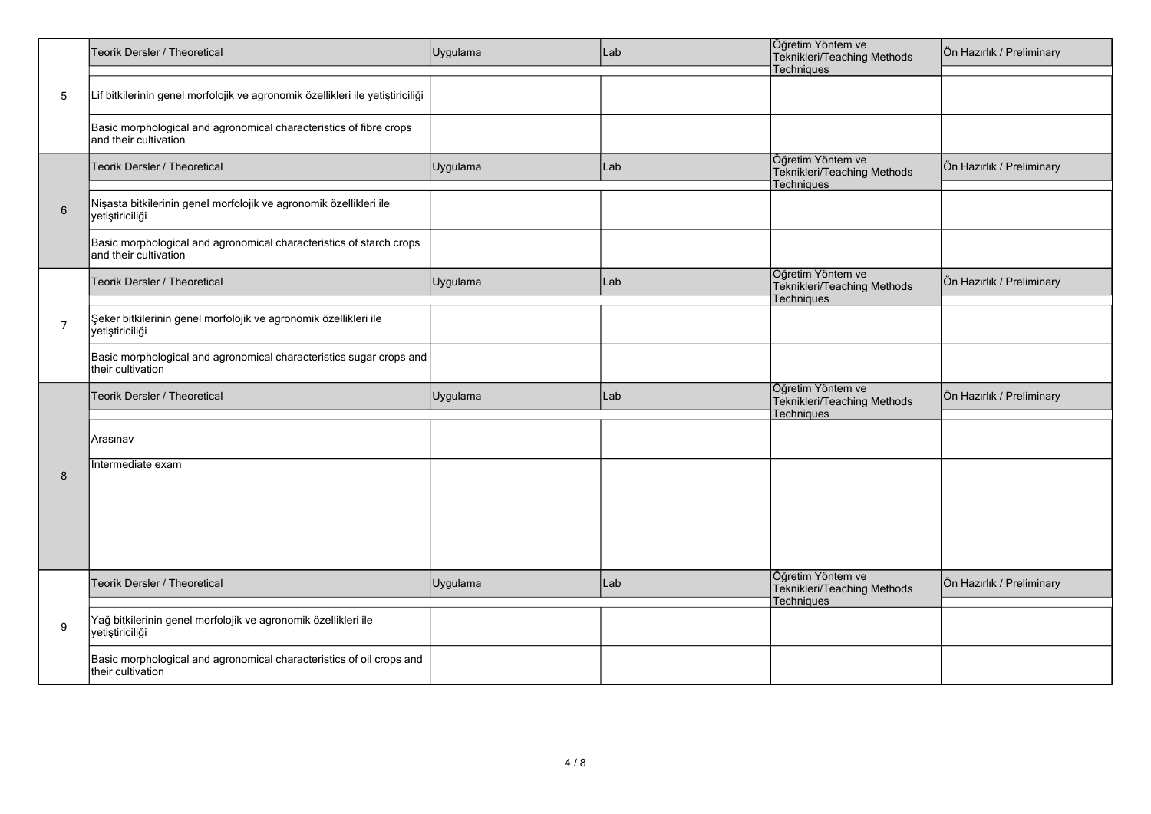|                | Teorik Dersler / Theoretical                                                                 | Uygulama | Lab | Öğretim Yöntem ve<br>Teknikleri/Teaching Methods<br>Techniques | Ön Hazırlık / Preliminary |
|----------------|----------------------------------------------------------------------------------------------|----------|-----|----------------------------------------------------------------|---------------------------|
| 5              | Lif bitkilerinin genel morfolojik ve agronomik özellikleri ile yetiştiriciliği               |          |     |                                                                |                           |
|                | Basic morphological and agronomical characteristics of fibre crops<br>and their cultivation  |          |     |                                                                |                           |
|                | Teorik Dersler / Theoretical                                                                 | Uygulama | Lab | Öğretim Yöntem ve<br>Teknikleri/Teaching Methods<br>Techniques | Ön Hazırlık / Preliminary |
| $6\phantom{1}$ | Nişasta bitkilerinin genel morfolojik ve agronomik özellikleri ile<br>yetiştiriciliği        |          |     |                                                                |                           |
|                | Basic morphological and agronomical characteristics of starch crops<br>and their cultivation |          |     |                                                                |                           |
|                | Teorik Dersler / Theoretical                                                                 | Uygulama | Lab | Öğretim Yöntem ve<br>Teknikleri/Teaching Methods<br>Techniques | Ön Hazırlık / Preliminary |
| $\overline{7}$ | Şeker bitkilerinin genel morfolojik ve agronomik özellikleri ile<br>yetiştiriciliği          |          |     |                                                                |                           |
|                | Basic morphological and agronomical characteristics sugar crops and<br>their cultivation     |          |     |                                                                |                           |
|                | Teorik Dersler / Theoretical                                                                 | Uygulama | Lab | Öğretim Yöntem ve<br>Teknikleri/Teaching Methods<br>Techniques | Ön Hazırlık / Preliminary |
|                | Arasınav                                                                                     |          |     |                                                                |                           |
| 8              | Intermediate exam                                                                            |          |     |                                                                |                           |
|                |                                                                                              |          |     |                                                                |                           |
|                |                                                                                              |          |     |                                                                |                           |
|                | Teorik Dersler / Theoretical                                                                 | Uygulama | Lab | Öğretim Yöntem ve<br>Teknikleri/Teaching Methods<br>Techniques | Ön Hazırlık / Preliminary |
| 9              | Yağ bitkilerinin genel morfolojik ve agronomik özellikleri ile<br>yetiştiriciliği            |          |     |                                                                |                           |
|                | Basic morphological and agronomical characteristics of oil crops and<br>their cultivation    |          |     |                                                                |                           |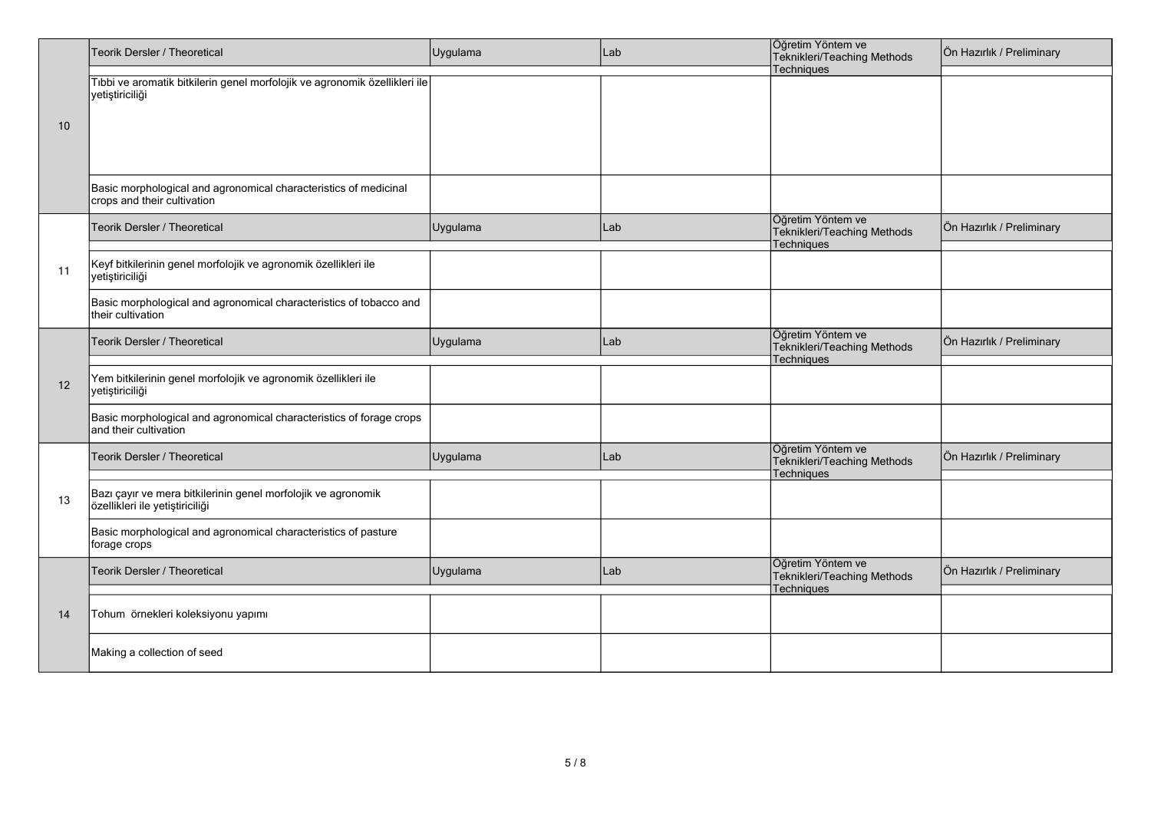|          | Teorik Dersler / Theoretical                                                                     | Uygulama | Lab | Öğretim Yöntem ve<br>Teknikleri/Teaching Methods               | Ön Hazırlık / Preliminary |
|----------|--------------------------------------------------------------------------------------------------|----------|-----|----------------------------------------------------------------|---------------------------|
|          | Tıbbi ve aromatik bitkilerin genel morfolojik ve agronomik özellikleri ile<br>yetiştiriciliği    |          |     | Techniques                                                     |                           |
| 10       |                                                                                                  |          |     |                                                                |                           |
|          |                                                                                                  |          |     |                                                                |                           |
|          | Basic morphological and agronomical characteristics of medicinal<br>crops and their cultivation  |          |     |                                                                |                           |
|          | Teorik Dersler / Theoretical                                                                     | Uygulama | Lab | Öğretim Yöntem ve<br>Teknikleri/Teaching Methods<br>Techniques | Ön Hazırlık / Preliminary |
| 11       | Keyf bitkilerinin genel morfolojik ve agronomik özellikleri ile<br>yetiştiriciliği               |          |     |                                                                |                           |
|          | Basic morphological and agronomical characteristics of tobacco and<br>their cultivation          |          |     |                                                                |                           |
|          | Teorik Dersler / Theoretical                                                                     | Uygulama | Lab | Öğretim Yöntem ve<br>Teknikleri/Teaching Methods<br>Techniques | Ön Hazırlık / Preliminary |
| 12       | Yem bitkilerinin genel morfolojik ve agronomik özellikleri ile<br>yetiştiriciliği                |          |     |                                                                |                           |
| 13<br>14 | Basic morphological and agronomical characteristics of forage crops<br>and their cultivation     |          |     |                                                                |                           |
|          | Teorik Dersler / Theoretical                                                                     | Uygulama | Lab | Öğretim Yöntem ve<br>Teknikleri/Teaching Methods<br>Techniques | Ön Hazırlık / Preliminary |
|          | Bazı çayır ve mera bitkilerinin genel morfolojik ve agronomik<br>özellikleri ile yetiştiriciliği |          |     |                                                                |                           |
|          | Basic morphological and agronomical characteristics of pasture<br>forage crops                   |          |     |                                                                |                           |
|          | Teorik Dersler / Theoretical                                                                     | Uygulama | Lab | Öğretim Yöntem ve<br>Teknikleri/Teaching Methods<br>Techniques | Ön Hazırlık / Preliminary |
|          | Tohum örnekleri koleksiyonu yapımı                                                               |          |     |                                                                |                           |
|          | Making a collection of seed                                                                      |          |     |                                                                |                           |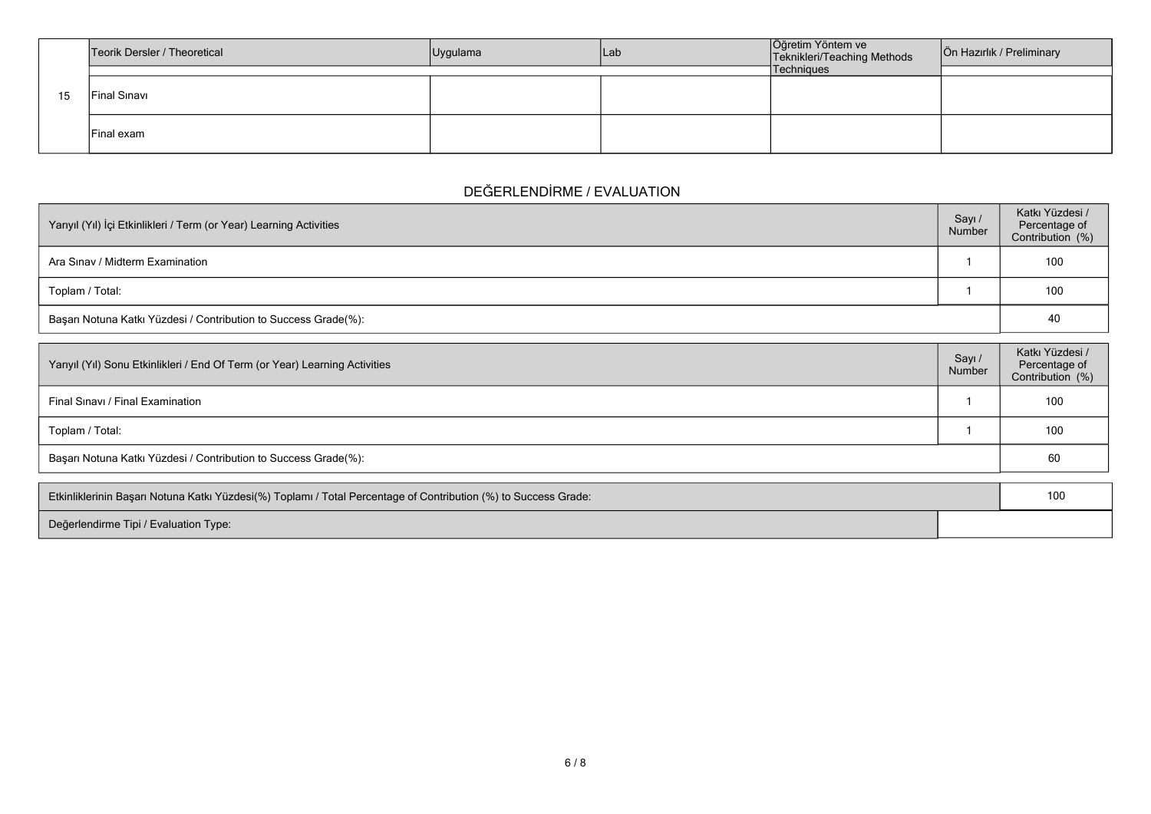|    | Teorik Dersler / Theoretical | Uygulama | lLab | Öğretim Yöntem ve<br>Teknikleri/Teaching Methods | Ön Hazırlık / Preliminary |
|----|------------------------------|----------|------|--------------------------------------------------|---------------------------|
|    |                              |          |      | Techniques                                       |                           |
| 15 | Final Sinavi                 |          |      |                                                  |                           |
|    | Final exam                   |          |      |                                                  |                           |

# **DEĞERLENDİRME / EVALUATION**

| Yarıyıl (Yıl) İçi Etkinlikleri / Term (or Year) Learning Activities | Sayı /<br>Number | Katkı Yüzdesi /<br>Percentage of<br>Contribution (%) |
|---------------------------------------------------------------------|------------------|------------------------------------------------------|
| Ara Sinav / Midterm Examination                                     |                  | 100                                                  |
| Toplam / Total:                                                     |                  | 100                                                  |
| Başarı Notuna Katkı Yüzdesi / Contribution to Success Grade(%):     |                  | 40                                                   |

| Yarıyıl (Yıl) Sonu Etkinlikleri / End Of Term (or Year) Learning Activities | Sayı<br>Number | Katkı Yüzdesi /<br>Percentage of<br>Contribution (%) |
|-----------------------------------------------------------------------------|----------------|------------------------------------------------------|
| Final Sinavi / Final Examination                                            |                | 100                                                  |
| Toplam / Total:                                                             |                | 100                                                  |
| Başarı Notuna Katkı Yüzdesi / Contribution to Success Grade(%):             |                | 60                                                   |

| Etkinliklerinin Başarı Notuna Katkı Yüzdesi(%) Toplamı / Total Percentage of Contribution (%) to Success Grade: |  |
|-----------------------------------------------------------------------------------------------------------------|--|
| Değerlendirme Tipi / Evaluation Type:                                                                           |  |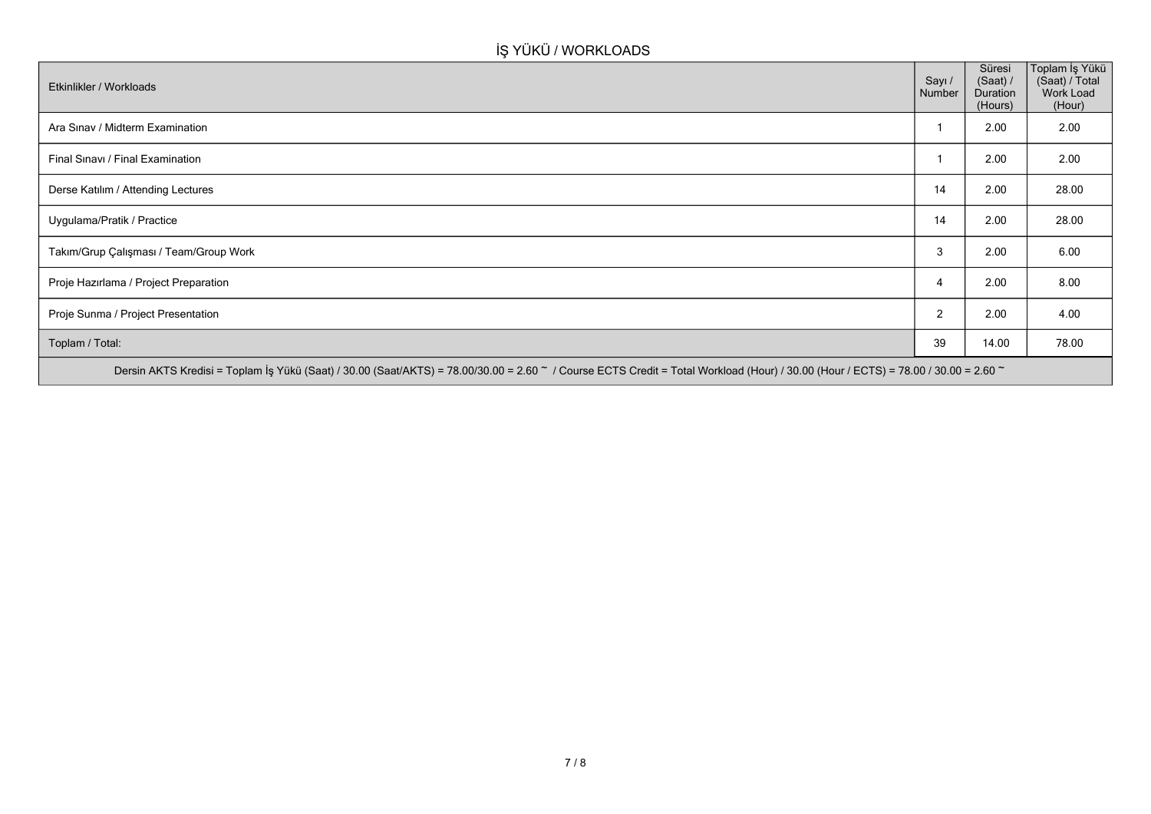# **İŞ YÜKÜ / WORKLOADS**

| Etkinlikler / Workloads                                                                                                                                                            | Sayı /<br>Number | Süresi<br>(Saat) /<br>Duration<br>(Hours) | Toplam İş Yükü<br>(Saat) / Total<br>Work Load<br>(Hour) |
|------------------------------------------------------------------------------------------------------------------------------------------------------------------------------------|------------------|-------------------------------------------|---------------------------------------------------------|
| Ara Sinav / Midterm Examination                                                                                                                                                    |                  | 2.00                                      | 2.00                                                    |
| Final Sinavi / Final Examination                                                                                                                                                   |                  | 2.00                                      | 2.00                                                    |
| Derse Katılım / Attending Lectures                                                                                                                                                 | 14               | 2.00                                      | 28.00                                                   |
| Uygulama/Pratik / Practice                                                                                                                                                         | 14               | 2.00                                      | 28.00                                                   |
| Takım/Grup Çalışması / Team/Group Work                                                                                                                                             | 3                | 2.00                                      | 6.00                                                    |
| Proje Hazırlama / Project Preparation                                                                                                                                              | 4                | 2.00                                      | 8.00                                                    |
| Proje Sunma / Project Presentation                                                                                                                                                 | 2                | 2.00                                      | 4.00                                                    |
| Toplam / Total:                                                                                                                                                                    | 39               | 14.00                                     | 78.00                                                   |
| Dersin AKTS Kredisi = Toplam İş Yükü (Saat) / 30.00 (Saat/AKTS) = 78.00/30.00 = 2.60 ~ / Course ECTS Credit = Total Workload (Hour) / 30.00 (Hour / ECTS) = 78.00 / 30.00 = 2.60 ~ |                  |                                           |                                                         |